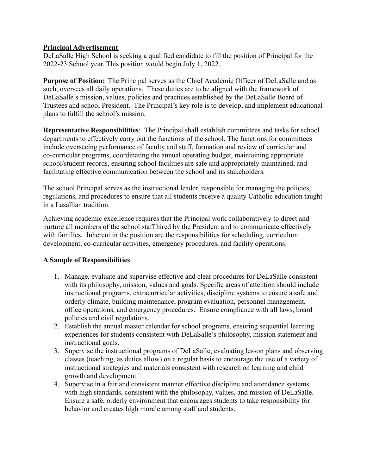## **Principal Advertisement**

DeLaSalle High School is seeking a qualified candidate to fill the position of Principal for the 2022-23 School year. This position would begin July 1, 2022.

**Purpose of Position:** The Principal serves as the Chief Academic Officer of DeLaSalle and as such, oversees all daily operations. These duties are to be aligned with the framework of DeLaSalle's mission, values, policies and practices established by the DeLaSalle Board of Trustees and school President. The Principal's key role is to develop, and implement educational plans to fulfill the school's mission.

**Representative Responsibilities**: The Principal shall establish committees and tasks for school departments to effectively carry out the functions of the school. The functions for committees include overseeing performance of faculty and staff, formation and review of curricular and co-curricular programs, coordinating the annual operating budget, maintaining appropriate school/student records, ensuring school facilities are safe and appropriately maintained, and facilitating effective communication between the school and its stakeholders.

The school Principal serves as the instructional leader, responsible for managing the policies, regulations, and procedures to ensure that all students receive a quality Catholic education taught in a Lasallian tradition.

Achieving academic excellence requires that the Principal work collaboratively to direct and nurture all members of the school staff hired by the President and to communicate effectively with families. Inherent in the position are the responsibilities for scheduling, curriculum development, co-curricular activities, emergency procedures, and facility operations.

## **A Sample of Responsibilities**

- 1. Manage, evaluate and supervise effective and clear procedures for DeLaSalle consistent with its philosophy, mission, values and goals. Specific areas of attention should include instructional programs, extracurricular activities, discipline systems to ensure a safe and orderly climate, building maintenance, program evaluation, personnel management, office operations, and emergency procedures. Ensure compliance with all laws, board policies and civil regulations.
- 2. Establish the annual master calendar for school programs, ensuring sequential learning experiences for students consistent with DeLaSalle's philosophy, mission statement and instructional goals.
- 3. Supervise the instructional programs of DeLaSalle, evaluating lesson plans and observing classes (teaching, as duties allow) on a regular basis to encourage the use of a variety of instructional strategies and materials consistent with research on learning and child growth and development.
- 4. Supervise in a fair and consistent manner effective discipline and attendance systems with high standards, consistent with the philosophy, values, and mission of DeLaSalle. Ensure a safe, orderly environment that encourages students to take responsibility for behavior and creates high morale among staff and students.